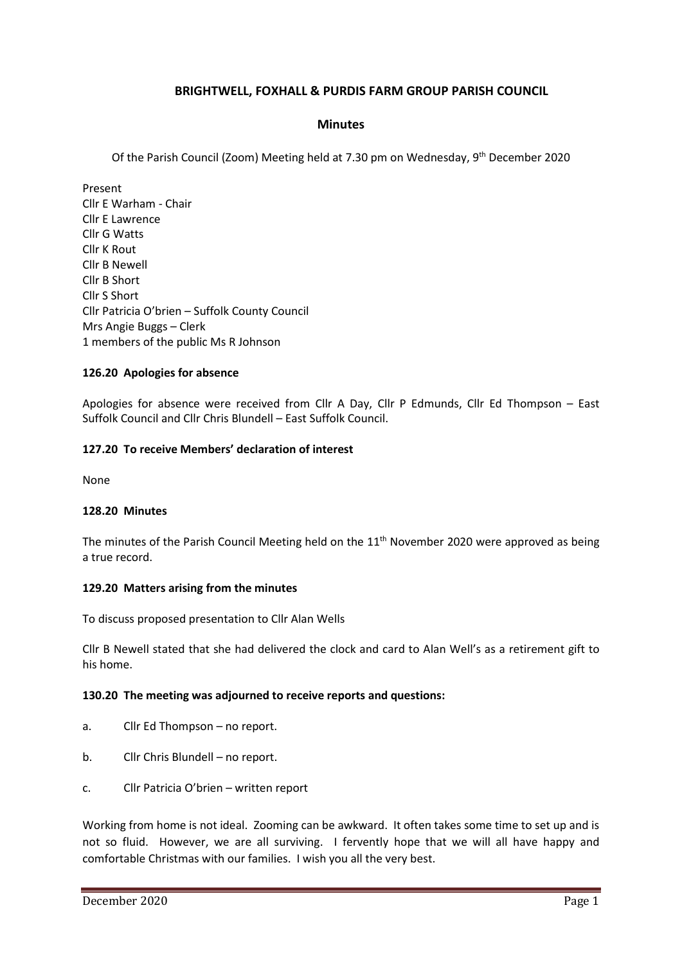# **BRIGHTWELL, FOXHALL & PURDIS FARM GROUP PARISH COUNCIL**

### **Minutes**

Of the Parish Council (Zoom) Meeting held at 7.30 pm on Wednesday, 9<sup>th</sup> December 2020

Present Cllr E Warham - Chair Cllr E Lawrence Cllr G Watts Cllr K Rout Cllr B Newell Cllr B Short Cllr S Short Cllr Patricia O'brien – Suffolk County Council Mrs Angie Buggs – Clerk 1 members of the public Ms R Johnson

#### **126.20 Apologies for absence**

Apologies for absence were received from Cllr A Day, Cllr P Edmunds, Cllr Ed Thompson – East Suffolk Council and Cllr Chris Blundell – East Suffolk Council.

#### **127.20 To receive Members' declaration of interest**

None

#### **128.20 Minutes**

The minutes of the Parish Council Meeting held on the 11<sup>th</sup> November 2020 were approved as being a true record.

#### **129.20 Matters arising from the minutes**

To discuss proposed presentation to Cllr Alan Wells

Cllr B Newell stated that she had delivered the clock and card to Alan Well's as a retirement gift to his home.

#### **130.20 The meeting was adjourned to receive reports and questions:**

- a. Cllr Ed Thompson no report.
- b. Cllr Chris Blundell no report.
- c. Cllr Patricia O'brien written report

Working from home is not ideal. Zooming can be awkward. It often takes some time to set up and is not so fluid. However, we are all surviving. I fervently hope that we will all have happy and comfortable Christmas with our families. I wish you all the very best.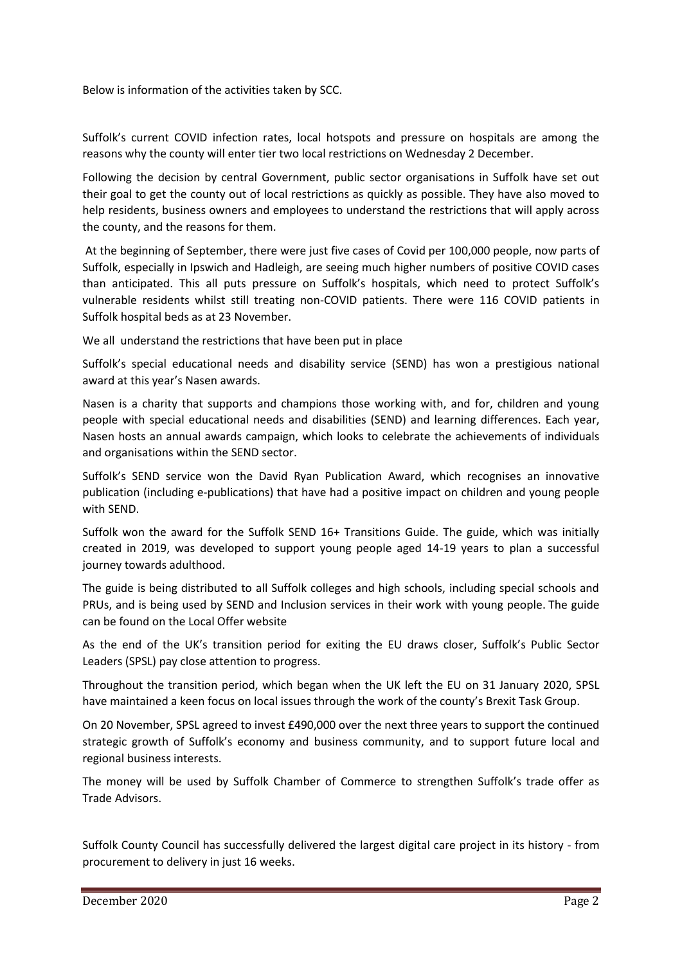Below is information of the activities taken by SCC.

Suffolk's current COVID infection rates, local hotspots and pressure on hospitals are among the reasons why the county will enter tier two local restrictions on Wednesday 2 December.

Following the decision by central Government, public sector organisations in Suffolk have set out their goal to get the county out of local restrictions as quickly as possible. They have also moved to help residents, business owners and employees to understand the restrictions that will apply across the county, and the reasons for them.

At the beginning of September, there were just five cases of Covid per 100,000 people, now parts of Suffolk, especially in Ipswich and Hadleigh, are seeing much higher numbers of positive COVID cases than anticipated. This all puts pressure on Suffolk's hospitals, which need to protect Suffolk's vulnerable residents whilst still treating non-COVID patients. There were 116 COVID patients in Suffolk hospital beds as at 23 November.

We all understand the restrictions that have been put in place

Suffolk's special educational needs and disability service (SEND) has won a prestigious national award at this year's Nasen awards.

Nasen is a charity that supports and champions those working with, and for, children and young people with special educational needs and disabilities (SEND) and learning differences. Each year, Nasen hosts an annual awards campaign, which looks to celebrate the achievements of individuals and organisations within the SEND sector.

Suffolk's SEND service won the David Ryan Publication Award, which recognises an innovative publication (including e-publications) that have had a positive impact on children and young people with SEND.

Suffolk won the award for the Suffolk SEND 16+ Transitions Guide. The guide, which was initially created in 2019, was developed to support young people aged 14-19 years to plan a successful journey towards adulthood.

The guide is being distributed to all Suffolk colleges and high schools, including special schools and PRUs, and is being used by SEND and Inclusion services in their work with young people. [The guide](https://infolink.suffolk.gov.uk/kb5/suffolk/infolink/advice.page?id=elDW9oe0rLk)  [can be found on the Local Offer website](https://infolink.suffolk.gov.uk/kb5/suffolk/infolink/advice.page?id=elDW9oe0rLk)

As the end of the UK's transition period for exiting the EU draws closer, Suffolk's Public Sector Leaders (SPSL) pay close attention to progress.

Throughout the transition period, which began when the UK left the EU on 31 January 2020, SPSL have maintained a keen focus on local issues through the work of the county's Brexit Task Group.

On 20 November, SPSL agreed to invest £490,000 over the next three years to support the continued strategic growth of Suffolk's economy and business community, and to support future local and regional business interests.

The money will be used by Suffolk Chamber of Commerce to strengthen Suffolk's trade offer as Trade Advisors.

Suffolk County Council has successfully delivered the largest digital care project in its history - from procurement to delivery in just 16 weeks.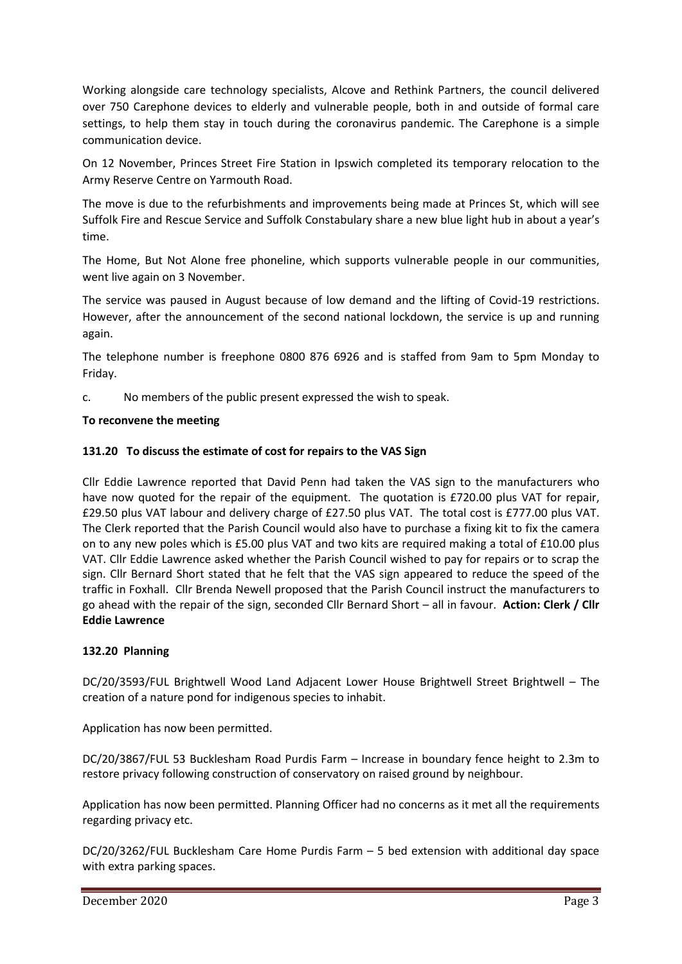Working alongside care technology specialists, Alcove and Rethink Partners, the council delivered over 750 Carephone devices to elderly and vulnerable people, both in and outside of formal care settings, to help them stay in touch during the coronavirus pandemic. The Carephone is a simple communication device.

On 12 November, Princes Street Fire Station in Ipswich completed its temporary relocation to the Army Reserve Centre on Yarmouth Road.

The move is due to the refurbishments and improvements being made at Princes St, which will see Suffolk Fire and Rescue Service and Suffolk Constabulary share a new blue light hub in about a year's time.

The Home, But Not Alone free phoneline, which supports vulnerable people in our communities, went live again on 3 November.

The service was paused in August because of low demand and the lifting of Covid-19 restrictions. However, after the announcement of the second national lockdown, the service is up and running again.

The telephone number is freephone 0800 876 6926 and is staffed from 9am to 5pm Monday to Friday.

c. No members of the public present expressed the wish to speak.

## **To reconvene the meeting**

## **131.20 To discuss the estimate of cost for repairs to the VAS Sign**

Cllr Eddie Lawrence reported that David Penn had taken the VAS sign to the manufacturers who have now quoted for the repair of the equipment. The quotation is £720.00 plus VAT for repair, £29.50 plus VAT labour and delivery charge of £27.50 plus VAT. The total cost is £777.00 plus VAT. The Clerk reported that the Parish Council would also have to purchase a fixing kit to fix the camera on to any new poles which is £5.00 plus VAT and two kits are required making a total of £10.00 plus VAT. Cllr Eddie Lawrence asked whether the Parish Council wished to pay for repairs or to scrap the sign. Cllr Bernard Short stated that he felt that the VAS sign appeared to reduce the speed of the traffic in Foxhall. Cllr Brenda Newell proposed that the Parish Council instruct the manufacturers to go ahead with the repair of the sign, seconded Cllr Bernard Short – all in favour. **Action: Clerk / Cllr Eddie Lawrence**

## **132.20 Planning**

DC/20/3593/FUL Brightwell Wood Land Adjacent Lower House Brightwell Street Brightwell – The creation of a nature pond for indigenous species to inhabit.

Application has now been permitted.

DC/20/3867/FUL 53 Bucklesham Road Purdis Farm – Increase in boundary fence height to 2.3m to restore privacy following construction of conservatory on raised ground by neighbour.

Application has now been permitted. Planning Officer had no concerns as it met all the requirements regarding privacy etc.

DC/20/3262/FUL Bucklesham Care Home Purdis Farm – 5 bed extension with additional day space with extra parking spaces.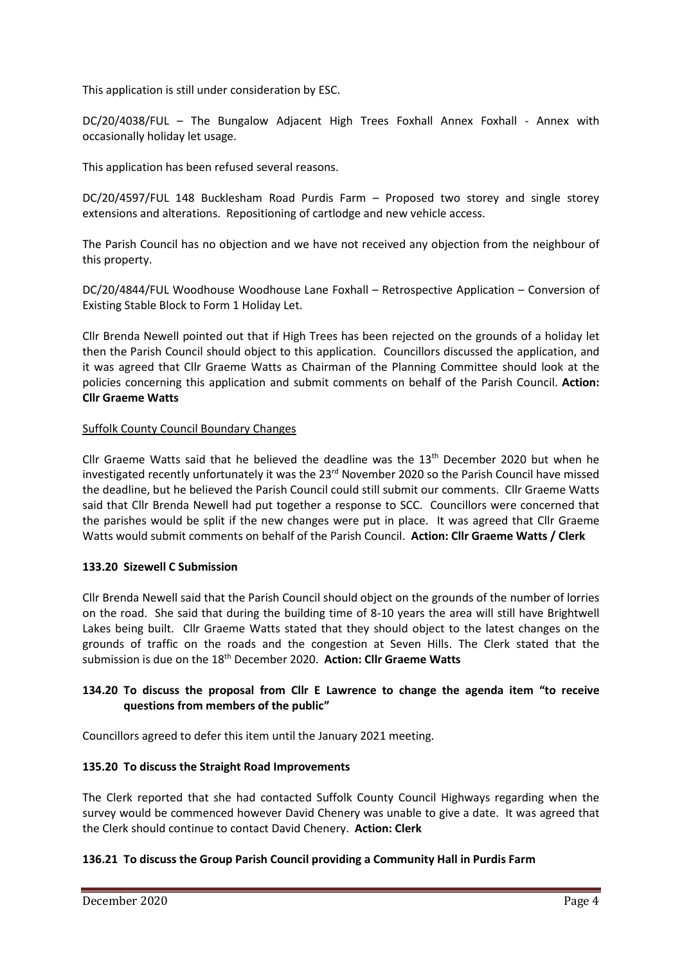This application is still under consideration by ESC.

DC/20/4038/FUL – The Bungalow Adjacent High Trees Foxhall Annex Foxhall - Annex with occasionally holiday let usage.

This application has been refused several reasons.

DC/20/4597/FUL 148 Bucklesham Road Purdis Farm – Proposed two storey and single storey extensions and alterations. Repositioning of cartlodge and new vehicle access.

The Parish Council has no objection and we have not received any objection from the neighbour of this property.

DC/20/4844/FUL Woodhouse Woodhouse Lane Foxhall – Retrospective Application – Conversion of Existing Stable Block to Form 1 Holiday Let.

Cllr Brenda Newell pointed out that if High Trees has been rejected on the grounds of a holiday let then the Parish Council should object to this application. Councillors discussed the application, and it was agreed that Cllr Graeme Watts as Chairman of the Planning Committee should look at the policies concerning this application and submit comments on behalf of the Parish Council. **Action: Cllr Graeme Watts**

### Suffolk County Council Boundary Changes

Cllr Graeme Watts said that he believed the deadline was the  $13<sup>th</sup>$  December 2020 but when he investigated recently unfortunately it was the 23<sup>rd</sup> November 2020 so the Parish Council have missed the deadline, but he believed the Parish Council could still submit our comments. Cllr Graeme Watts said that Cllr Brenda Newell had put together a response to SCC. Councillors were concerned that the parishes would be split if the new changes were put in place. It was agreed that Cllr Graeme Watts would submit comments on behalf of the Parish Council. **Action: Cllr Graeme Watts / Clerk**

#### **133.20 Sizewell C Submission**

Cllr Brenda Newell said that the Parish Council should object on the grounds of the number of lorries on the road. She said that during the building time of 8-10 years the area will still have Brightwell Lakes being built. Cllr Graeme Watts stated that they should object to the latest changes on the grounds of traffic on the roads and the congestion at Seven Hills. The Clerk stated that the submission is due on the 18th December 2020. **Action: Cllr Graeme Watts**

### **134.20 To discuss the proposal from Cllr E Lawrence to change the agenda item "to receive questions from members of the public"**

Councillors agreed to defer this item until the January 2021 meeting.

#### **135.20 To discuss the Straight Road Improvements**

The Clerk reported that she had contacted Suffolk County Council Highways regarding when the survey would be commenced however David Chenery was unable to give a date. It was agreed that the Clerk should continue to contact David Chenery. **Action: Clerk**

## **136.21 To discuss the Group Parish Council providing a Community Hall in Purdis Farm**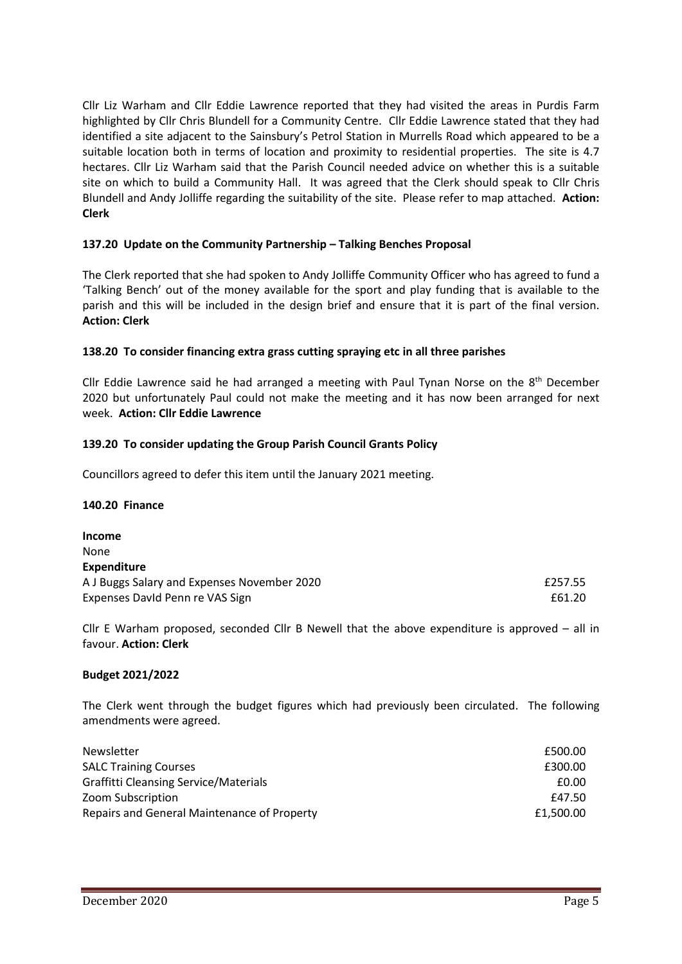Cllr Liz Warham and Cllr Eddie Lawrence reported that they had visited the areas in Purdis Farm highlighted by Cllr Chris Blundell for a Community Centre. Cllr Eddie Lawrence stated that they had identified a site adjacent to the Sainsbury's Petrol Station in Murrells Road which appeared to be a suitable location both in terms of location and proximity to residential properties. The site is 4.7 hectares. Cllr Liz Warham said that the Parish Council needed advice on whether this is a suitable site on which to build a Community Hall. It was agreed that the Clerk should speak to Cllr Chris Blundell and Andy Jolliffe regarding the suitability of the site. Please refer to map attached. **Action: Clerk**

### **137.20 Update on the Community Partnership – Talking Benches Proposal**

The Clerk reported that she had spoken to Andy Jolliffe Community Officer who has agreed to fund a 'Talking Bench' out of the money available for the sport and play funding that is available to the parish and this will be included in the design brief and ensure that it is part of the final version. **Action: Clerk**

#### **138.20 To consider financing extra grass cutting spraying etc in all three parishes**

Cllr Eddie Lawrence said he had arranged a meeting with Paul Tynan Norse on the  $8<sup>th</sup>$  December 2020 but unfortunately Paul could not make the meeting and it has now been arranged for next week. **Action: Cllr Eddie Lawrence**

#### **139.20 To consider updating the Group Parish Council Grants Policy**

Councillors agreed to defer this item until the January 2021 meeting.

#### **140.20 Finance**

| Income                                      |         |
|---------------------------------------------|---------|
| None                                        |         |
| <b>Expenditure</b>                          |         |
| A J Buggs Salary and Expenses November 2020 | £257.55 |
| Expenses David Penn re VAS Sign             | £61.20  |

Cllr E Warham proposed, seconded Cllr B Newell that the above expenditure is approved – all in favour. **Action: Clerk**

#### **Budget 2021/2022**

The Clerk went through the budget figures which had previously been circulated. The following amendments were agreed.

| <b>Newsletter</b>                            | £500.00   |
|----------------------------------------------|-----------|
| <b>SALC Training Courses</b>                 | £300.00   |
| <b>Graffitti Cleansing Service/Materials</b> | £0.00     |
| Zoom Subscription                            | £47.50    |
| Repairs and General Maintenance of Property  | £1,500.00 |